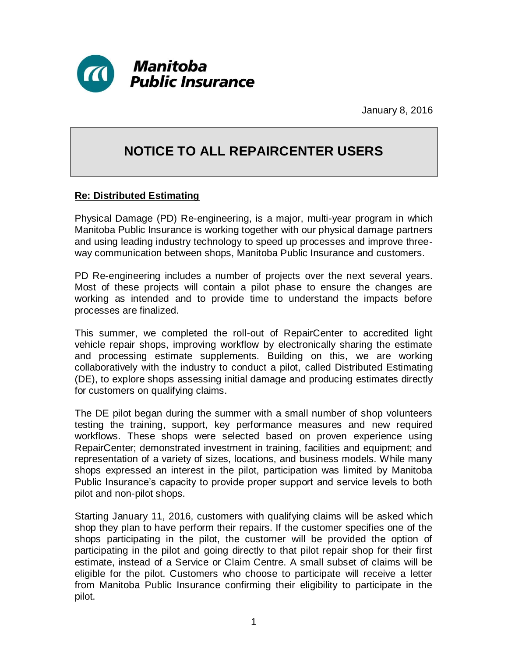

January 8, 2016

## **NOTICE TO ALL REPAIRCENTER USERS**

## **Re: Distributed Estimating**

Physical Damage (PD) Re-engineering, is a major, multi-year program in which Manitoba Public Insurance is working together with our physical damage partners and using leading industry technology to speed up processes and improve threeway communication between shops, Manitoba Public Insurance and customers.

PD Re-engineering includes a number of projects over the next several years. Most of these projects will contain a pilot phase to ensure the changes are working as intended and to provide time to understand the impacts before processes are finalized.

This summer, we completed the roll-out of RepairCenter to accredited light vehicle repair shops, improving workflow by electronically sharing the estimate and processing estimate supplements. Building on this, we are working collaboratively with the industry to conduct a pilot, called Distributed Estimating (DE), to explore shops assessing initial damage and producing estimates directly for customers on qualifying claims.

The DE pilot began during the summer with a small number of shop volunteers testing the training, support, key performance measures and new required workflows. These shops were selected based on proven experience using RepairCenter; demonstrated investment in training, facilities and equipment; and representation of a variety of sizes, locations, and business models. While many shops expressed an interest in the pilot, participation was limited by Manitoba Public Insurance's capacity to provide proper support and service levels to both pilot and non-pilot shops.

Starting January 11, 2016, customers with qualifying claims will be asked which shop they plan to have perform their repairs. If the customer specifies one of the shops participating in the pilot, the customer will be provided the option of participating in the pilot and going directly to that pilot repair shop for their first estimate, instead of a Service or Claim Centre. A small subset of claims will be eligible for the pilot. Customers who choose to participate will receive a letter from Manitoba Public Insurance confirming their eligibility to participate in the pilot.